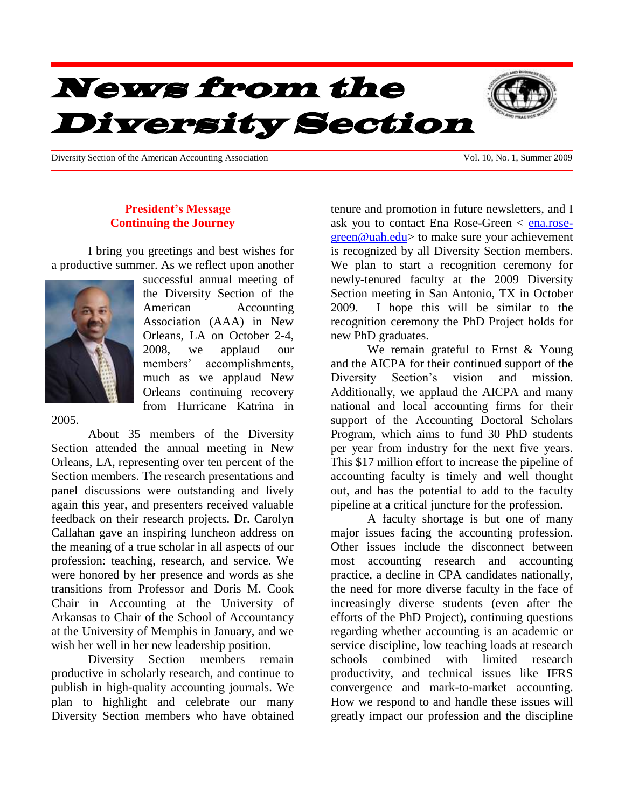# News from the Diversity Section

Diversity Section of the American Accounting Association Vol. 10, No. 1, Summer 2009

## **President's Message Continuing the Journey**

I bring you greetings and best wishes for a productive summer. As we reflect upon another



successful annual meeting of the Diversity Section of the American Accounting Association (AAA) in New Orleans, LA on October 2-4, 2008, we applaud our members' accomplishments, much as we applaud New Orleans continuing recovery from Hurricane Katrina in

#### 2005.

About 35 members of the Diversity Section attended the annual meeting in New Orleans, LA, representing over ten percent of the Section members. The research presentations and panel discussions were outstanding and lively again this year, and presenters received valuable feedback on their research projects. Dr. Carolyn Callahan gave an inspiring luncheon address on the meaning of a true scholar in all aspects of our profession: teaching, research, and service. We were honored by her presence and words as she transitions from Professor and Doris M. Cook Chair in Accounting at the University of Arkansas to Chair of the School of Accountancy at the University of Memphis in January, and we wish her well in her new leadership position.

Diversity Section members remain productive in scholarly research, and continue to publish in high-quality accounting journals. We plan to highlight and celebrate our many Diversity Section members who have obtained tenure and promotion in future newsletters, and I ask you to contact Ena Rose-Green < [ena.rose](mailto:ena.rose-green@uah.edu)[green@uah.edu>](mailto:ena.rose-green@uah.edu) to make sure your achievement is recognized by all Diversity Section members. We plan to start a recognition ceremony for newly-tenured faculty at the 2009 Diversity Section meeting in San Antonio, TX in October 2009. I hope this will be similar to the recognition ceremony the PhD Project holds for new PhD graduates.

We remain grateful to Ernst & Young and the AICPA for their continued support of the Diversity Section's vision and mission. Additionally, we applaud the AICPA and many national and local accounting firms for their support of the Accounting Doctoral Scholars Program, which aims to fund 30 PhD students per year from industry for the next five years. This \$17 million effort to increase the pipeline of accounting faculty is timely and well thought out, and has the potential to add to the faculty pipeline at a critical juncture for the profession.

A faculty shortage is but one of many major issues facing the accounting profession. Other issues include the disconnect between most accounting research and accounting practice, a decline in CPA candidates nationally, the need for more diverse faculty in the face of increasingly diverse students (even after the efforts of the PhD Project), continuing questions regarding whether accounting is an academic or service discipline, low teaching loads at research schools combined with limited research productivity, and technical issues like IFRS convergence and mark-to-market accounting. How we respond to and handle these issues will greatly impact our profession and the discipline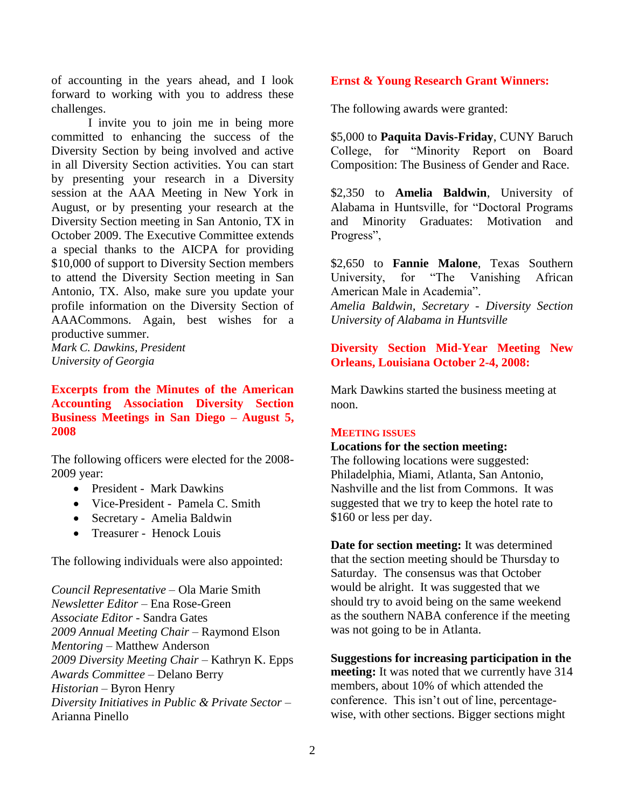of accounting in the years ahead, and I look forward to working with you to address these challenges.

I invite you to join me in being more committed to enhancing the success of the Diversity Section by being involved and active in all Diversity Section activities. You can start by presenting your research in a Diversity session at the AAA Meeting in New York in August, or by presenting your research at the Diversity Section meeting in San Antonio, TX in October 2009. The Executive Committee extends a special thanks to the AICPA for providing \$10,000 of support to Diversity Section members to attend the Diversity Section meeting in San Antonio, TX. Also, make sure you update your profile information on the Diversity Section of AAACommons. Again, best wishes for a productive summer.

*Mark C. Dawkins, President University of Georgia*

**Excerpts from the Minutes of the American Accounting Association Diversity Section Business Meetings in San Diego – August 5, 2008**

The following officers were elected for the 2008- 2009 year:

- President Mark Dawkins
- Vice-President Pamela C. Smith
- Secretary Amelia Baldwin
- Treasurer Henock Louis

The following individuals were also appointed:

*Council Representative* – Ola Marie Smith *Newsletter Editor* – Ena Rose-Green *Associate Editor* - Sandra Gates *2009 Annual Meeting Chair* – Raymond Elson *Mentoring* – Matthew Anderson *2009 Diversity Meeting Chair* – Kathryn K. Epps *Awards Committee* – Delano Berry *Historian* – Byron Henry *Diversity Initiatives in Public & Private Sector* – Arianna Pinello

#### **Ernst & Young Research Grant Winners:**

The following awards were granted:

\$5,000 to **Paquita Davis-Friday**, CUNY Baruch College, for "Minority Report on Board Composition: The Business of Gender and Race.

\$2,350 to **Amelia Baldwin**, University of Alabama in Huntsville, for "Doctoral Programs and Minority Graduates: Motivation and Progress",

\$2,650 to **Fannie Malone**, Texas Southern University, for "The Vanishing African American Male in Academia".

*Amelia Baldwin, Secretary - Diversity Section University of Alabama in Huntsville*

**Diversity Section Mid-Year Meeting New Orleans, Louisiana October 2-4, 2008:** 

Mark Dawkins started the business meeting at noon.

#### **MEETING ISSUES**

#### **Locations for the section meeting:**

The following locations were suggested: Philadelphia, Miami, Atlanta, San Antonio, Nashville and the list from Commons. It was suggested that we try to keep the hotel rate to \$160 or less per day.

**Date for section meeting:** It was determined that the section meeting should be Thursday to Saturday. The consensus was that October would be alright. It was suggested that we should try to avoid being on the same weekend as the southern NABA conference if the meeting was not going to be in Atlanta.

**Suggestions for increasing participation in the meeting:** It was noted that we currently have 314 members, about 10% of which attended the conference. This isn't out of line, percentagewise, with other sections. Bigger sections might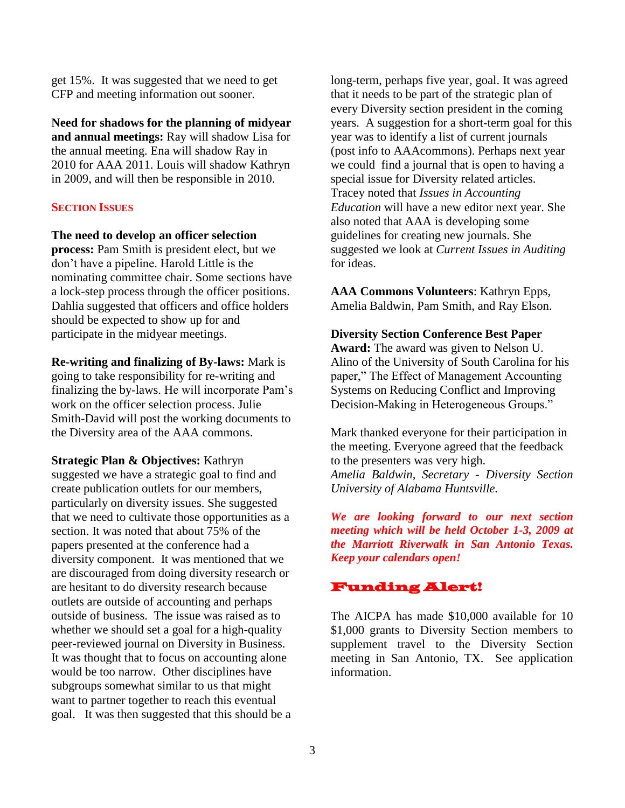get 15%. It was suggested that we need to get CFP and meeting information out sooner.

**Need for shadows for the planning of midyear and annual meetings:** Ray will shadow Lisa for the annual meeting. Ena will shadow Ray in 2010 for AAA 2011. Louis will shadow Kathryn in 2009, and will then be responsible in 2010.

## **SECTION ISSUES**

**The need to develop an officer selection** 

**process:** Pam Smith is president elect, but we don't have a pipeline. Harold Little is the nominating committee chair. Some sections have a lock-step process through the officer positions. Dahlia suggested that officers and office holders should be expected to show up for and participate in the midyear meetings.

**Re-writing and finalizing of By-laws:** Mark is going to take responsibility for re-writing and finalizing the by-laws. He will incorporate Pam's work on the officer selection process. Julie Smith-David will post the working documents to the Diversity area of the AAA commons.

**Strategic Plan & Objectives:** Kathryn suggested we have a strategic goal to find and create publication outlets for our members, particularly on diversity issues. She suggested that we need to cultivate those opportunities as a section. It was noted that about 75% of the papers presented at the conference had a diversity component. It was mentioned that we are discouraged from doing diversity research or are hesitant to do diversity research because outlets are outside of accounting and perhaps outside of business. The issue was raised as to whether we should set a goal for a high-quality peer-reviewed journal on Diversity in Business. It was thought that to focus on accounting alone would be too narrow. Other disciplines have subgroups somewhat similar to us that might want to partner together to reach this eventual goal. It was then suggested that this should be a long-term, perhaps five year, goal. It was agreed that it needs to be part of the strategic plan of every Diversity section president in the coming years. A suggestion for a short-term goal for this year was to identify a list of current journals (post info to AAAcommons). Perhaps next year we could find a journal that is open to having a special issue for Diversity related articles. Tracey noted that *Issues in Accounting Education* will have a new editor next year. She also noted that AAA is developing some guidelines for creating new journals. She suggested we look at *Current Issues in Auditing* for ideas.

**AAA Commons Volunteers**: Kathryn Epps, Amelia Baldwin, Pam Smith, and Ray Elson.

## **Diversity Section Conference Best Paper**

**Award:** The award was given to Nelson U. Alino of the University of South Carolina for his paper," The Effect of Management Accounting Systems on Reducing Conflict and Improving Decision-Making in Heterogeneous Groups."

Mark thanked everyone for their participation in the meeting. Everyone agreed that the feedback to the presenters was very high. *Amelia Baldwin, Secretary - Diversity Section University of Alabama Huntsville.*

*We are looking forward to our next section meeting which will be held October 1-3, 2009 at the Marriott Riverwalk in San Antonio Texas. Keep your calendars open!* 

# Funding Alert!

The AICPA has made \$10,000 available for 10 \$1,000 grants to Diversity Section members to supplement travel to the Diversity Section meeting in San Antonio, TX. See application information.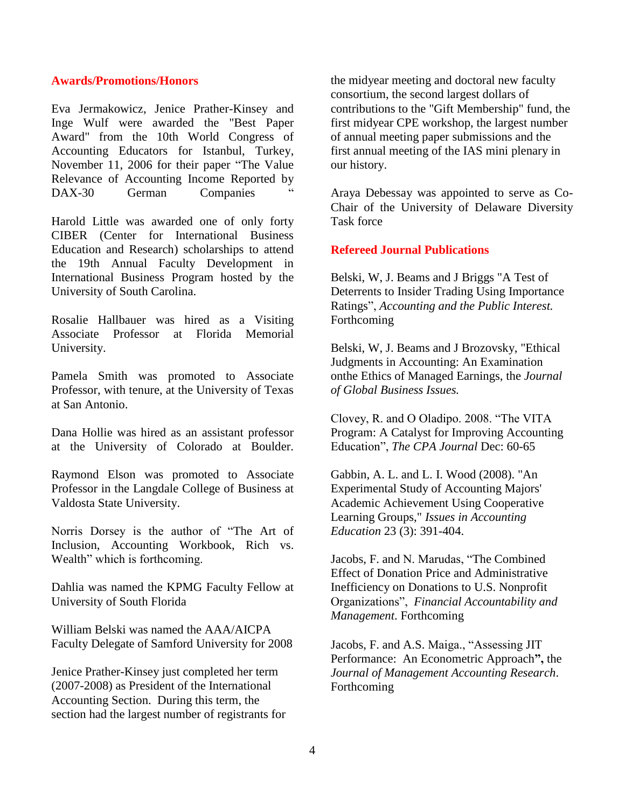#### **Awards/Promotions/Honors**

Eva Jermakowicz, Jenice Prather-Kinsey and Inge Wulf were awarded the "Best Paper Award" from the 10th World Congress of Accounting Educators for Istanbul, Turkey, November 11, 2006 for their paper "The Value Relevance of Accounting Income Reported by DAX-30 German Companies

Harold Little was awarded one of only forty CIBER (Center for International Business Education and Research) scholarships to attend the 19th Annual Faculty Development in International Business Program hosted by the University of South Carolina.

Rosalie Hallbauer was hired as a Visiting Associate Professor at Florida Memorial University.

Pamela Smith was promoted to Associate Professor, with tenure, at the University of Texas at San Antonio.

Dana Hollie was hired as an assistant professor at the University of Colorado at Boulder.

Raymond Elson was promoted to Associate Professor in the Langdale College of Business at Valdosta State University.

Norris Dorsey is the author of "The Art of Inclusion, Accounting Workbook, Rich vs. Wealth" which is forthcoming.

Dahlia was named the KPMG Faculty Fellow at University of South Florida

William Belski was named the AAA/AICPA Faculty Delegate of Samford University for 2008

Jenice Prather-Kinsey just completed her term (2007-2008) as President of the International Accounting Section. During this term, the section had the largest number of registrants for the midyear meeting and doctoral new faculty consortium, the second largest dollars of contributions to the "Gift Membership" fund, the first midyear CPE workshop, the largest number of annual meeting paper submissions and the first annual meeting of the IAS mini plenary in our history.

Araya Debessay was appointed to serve as Co-Chair of the University of Delaware Diversity Task force

#### **Refereed Journal Publications**

Belski, W, J. Beams and J Briggs "A Test of Deterrents to Insider Trading Using Importance Ratings", *Accounting and the Public Interest.* Forthcoming

Belski, W, J. Beams and J Brozovsky, "Ethical Judgments in Accounting: An Examination onthe Ethics of Managed Earnings, the *Journal of Global Business Issues.*

Clovey, R. and O Oladipo. 2008. "The VITA Program: A Catalyst for Improving Accounting Education", *The CPA Journal* Dec: 60-65

Gabbin, A. L. and L. I. Wood (2008). "An Experimental Study of Accounting Majors' Academic Achievement Using Cooperative Learning Groups," *Issues in Accounting Education* 23 (3): 391-404.

Jacobs, F. and N. Marudas, "The Combined Effect of Donation Price and Administrative Inefficiency on Donations to U.S. Nonprofit Organizations", *Financial Accountability and Management*. Forthcoming

Jacobs, F. and A.S. Maiga., "Assessing JIT Performance: An Econometric Approach**",** the *Journal of Management Accounting Research*. Forthcoming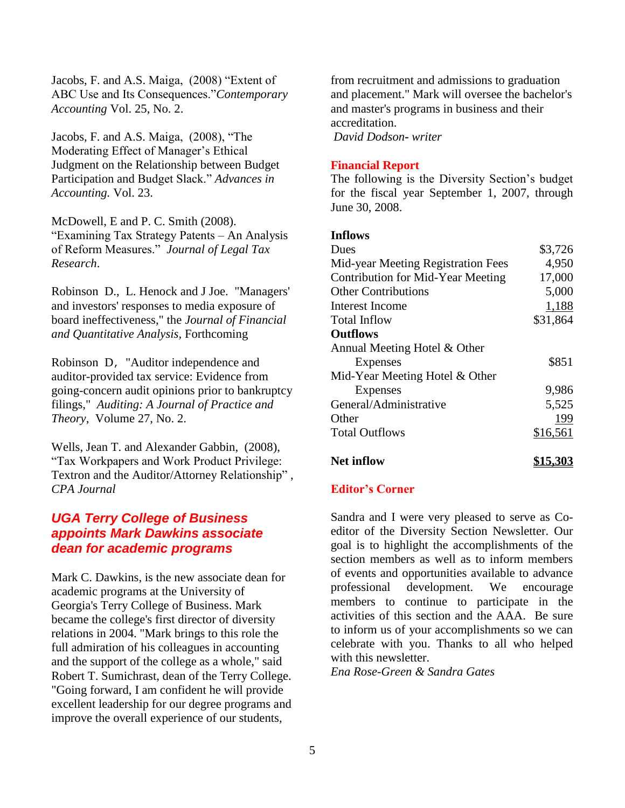Jacobs, F. and A.S. Maiga, (2008) "Extent of ABC Use and Its Consequences."*Contemporary Accounting* Vol. 25, No. 2.

Jacobs, F. and A.S. Maiga, (2008), "The Moderating Effect of Manager's Ethical Judgment on the Relationship between Budget Participation and Budget Slack." *Advances in Accounting.* Vol. 23.

McDowell, E and P. C. Smith (2008). "Examining Tax Strategy Patents – An Analysis of Reform Measures." *Journal of Legal Tax Research*.

Robinson D., L. Henock and J Joe. "Managers' and investors' responses to media exposure of board ineffectiveness," the *Journal of Financial and Quantitative Analysis,* Forthcoming

Robinson D, "Auditor independence and auditor-provided tax service: Evidence from going-concern audit opinions prior to bankruptcy filings," *Auditing: A Journal of Practice and Theory*, Volume 27, No. 2.

Wells, Jean T. and Alexander Gabbin, (2008), "Tax Workpapers and Work Product Privilege: Textron and the Auditor/Attorney Relationship" , *CPA Journal*

## *UGA Terry College of Business appoints Mark Dawkins associate dean for academic programs*

Mark C. Dawkins, is the new associate dean for academic programs at the University of Georgia's Terry College of Business. Mark became the college's first director of diversity relations in 2004. "Mark brings to this role the full admiration of his colleagues in accounting and the support of the college as a whole," said Robert T. Sumichrast, dean of the Terry College. "Going forward, I am confident he will provide excellent leadership for our degree programs and improve the overall experience of our students,

from recruitment and admissions to graduation and placement." Mark will oversee the bachelor's and master's programs in business and their accreditation. *David Dodson- writer*

#### **Financial Report**

The following is the Diversity Section's budget for the fiscal year September 1, 2007, through June 30, 2008.

#### **Inflows**

| <b>Dues</b>                              | \$3,726  |
|------------------------------------------|----------|
| Mid-year Meeting Registration Fees       | 4,950    |
| <b>Contribution for Mid-Year Meeting</b> | 17,000   |
| <b>Other Contributions</b>               | 5,000    |
| Interest Income                          | 1,188    |
| Total Inflow                             | \$31,864 |
| <b>Outflows</b>                          |          |
| Annual Meeting Hotel & Other             |          |
| Expenses                                 | \$851    |
| Mid-Year Meeting Hotel & Other           |          |
| <b>Expenses</b>                          | 9,986    |
| General/Administrative                   | 5,525    |
| Other                                    | 199      |
| <b>Total Outflows</b>                    | \$16,561 |
|                                          |          |

# **Net inflow \$15,303**

## **Editor's Corner**

Sandra and I were very pleased to serve as Coeditor of the Diversity Section Newsletter. Our goal is to highlight the accomplishments of the section members as well as to inform members of events and opportunities available to advance professional development. We encourage members to continue to participate in the activities of this section and the AAA. Be sure to inform us of your accomplishments so we can celebrate with you. Thanks to all who helped with this newsletter.

*Ena Rose-Green & Sandra Gates*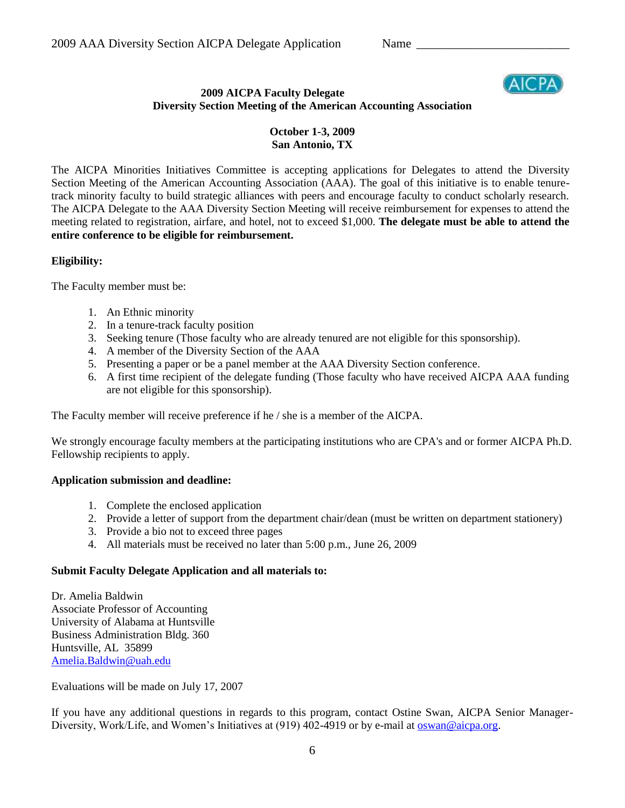

## **2009 AICPA Faculty Delegate Diversity Section Meeting of the American Accounting Association**

## **October 1-3, 2009 San Antonio, TX**

The AICPA Minorities Initiatives Committee is accepting applications for Delegates to attend the Diversity Section Meeting of the American Accounting Association (AAA). The goal of this initiative is to enable tenuretrack minority faculty to build strategic alliances with peers and encourage faculty to conduct scholarly research. The AICPA Delegate to the AAA Diversity Section Meeting will receive reimbursement for expenses to attend the meeting related to registration, airfare, and hotel, not to exceed \$1,000. **The delegate must be able to attend the entire conference to be eligible for reimbursement.**

## **Eligibility:**

The Faculty member must be:

- 1. An Ethnic minority
- 2. In a tenure-track faculty position
- 3. Seeking tenure (Those faculty who are already tenured are not eligible for this sponsorship).
- 4. A member of the Diversity Section of the AAA
- 5. Presenting a paper or be a panel member at the AAA Diversity Section conference.
- 6. A first time recipient of the delegate funding (Those faculty who have received AICPA AAA funding are not eligible for this sponsorship).

The Faculty member will receive preference if he / she is a member of the AICPA.

We strongly encourage faculty members at the participating institutions who are CPA's and or former AICPA Ph.D. Fellowship recipients to apply.

## **Application submission and deadline:**

- 1. Complete the enclosed application
- 2. Provide a letter of support from the department chair/dean (must be written on department stationery)
- 3. Provide a bio not to exceed three pages
- 4. All materials must be received no later than 5:00 p.m., June 26, 2009

## **Submit Faculty Delegate Application and all materials to:**

Dr. Amelia Baldwin Associate Professor of Accounting University of Alabama at Huntsville Business Administration Bldg. 360 Huntsville, AL 35899 [Amelia.Baldwin@uah.edu](mailto:Amelia.Baldwin@uah.edu)

Evaluations will be made on July 17, 2007

If you have any additional questions in regards to this program, contact Ostine Swan, AICPA Senior ManagerDiversity, Work/Life, and Women's Initiatives at (919) 402-4919 or by e-mail at [oswan@aicpa.org.](mailto:oswan@aicpa.org)